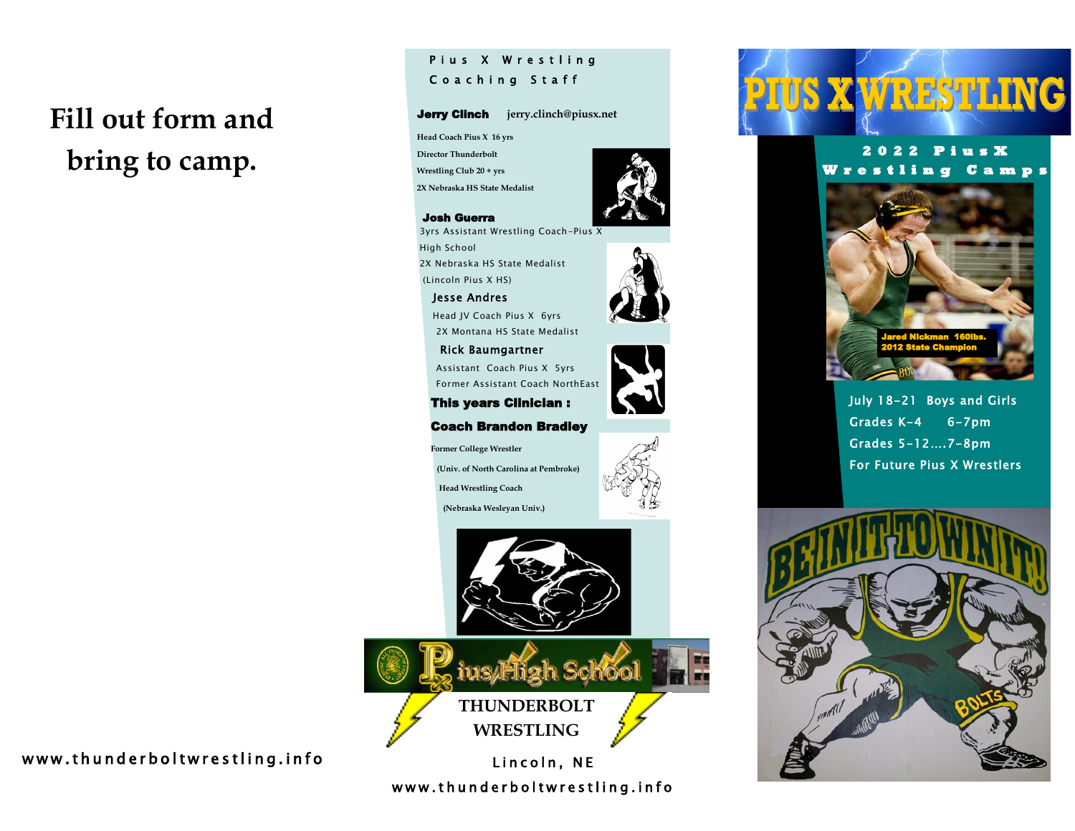# **Fill out form and bring to camp.**

### Pius X Wrestling Coaching Staff

#### Jerry Clinch **jerry.clinch@piusx.net**

- **Head Coach Pius X 16 yrs Director Thunderbolt Wrestling Club 20 + yrs**
- **2X Nebraska HS State Medalist**

#### Josh Guerra

3yrs Assistant Wrestling Coach-Pius X High School 2X Nebraska HS State Medalist (Lincoln Pius X HS)

#### Jesse Andres

 Head JV Coach Pius X 6yrs 2X Montana HS State Medalist

 Rick Baumgartner Assistant Coach Pius X 5yrs Former Assistant Coach NorthEast

This years Clinician :

#### Coach Brandon Bradley

**Former College Wrestler**

 **(Univ. of North Carolina at Pembroke)**

 **Head Wrestling Coach**

 **(Nebraska Wesleyan Univ.)**





Lincoln, NE www.thunderboltwrestling.info



### **2 0 2 2 P i u s X W r e s t l i n g C a m p s**



July 18-21 Boys and Girls Grades K-4 6-7pm Grades 5-12…. 7-8pm For Future Pius X Wrestlers



### www.thunderboltwrestling.info